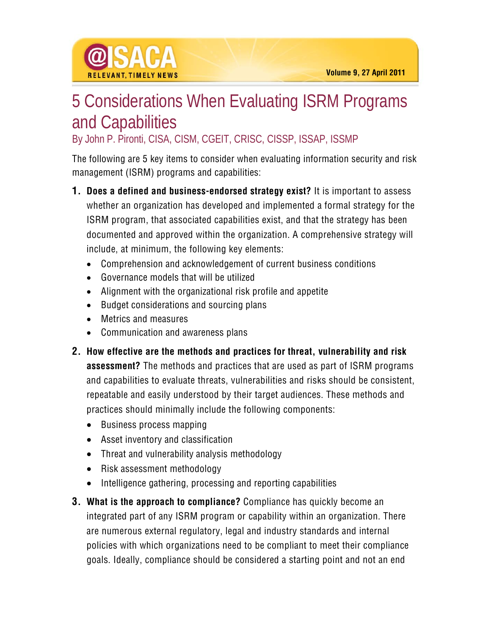

By John P. Pironti, CISA, CISM, CGEIT, CRISC, CISSP, ISSAP, ISSMP

The following are 5 key items to consider when evaluating information security and risk management (ISRM) programs and capabilities:

- **1. Does a defined and business-endorsed strategy exist?** It is important to assess whether an organization has developed and implemented a formal strategy for the ISRM program, that associated capabilities exist, and that the strategy has been documented and approved within the organization. A comprehensive strategy will include, at minimum, the following key elements:
	- Comprehension and acknowledgement of current business conditions
	- Governance models that will be utilized
	- Alignment with the organizational risk profile and appetite
	- Budget considerations and sourcing plans
	- Metrics and measures

**RELEVANT TIMELY NEWS** 

- Communication and awareness plans
- **2. How effective are the methods and practices for threat, vulnerability and risk assessment?** The methods and practices that are used as part of ISRM programs and capabilities to evaluate threats, vulnerabilities and risks should be consistent, repeatable and easily understood by their target audiences. These methods and practices should minimally include the following components:
	- Business process mapping
	- Asset inventory and classification
	- Threat and vulnerability analysis methodology
	- Risk assessment methodology
	- Intelligence gathering, processing and reporting capabilities
- **3. What is the approach to compliance?** Compliance has quickly become an integrated part of any ISRM program or capability within an organization. There are numerous external regulatory, legal and industry standards and internal policies with which organizations need to be compliant to meet their compliance goals. Ideally, compliance should be considered a starting point and not an end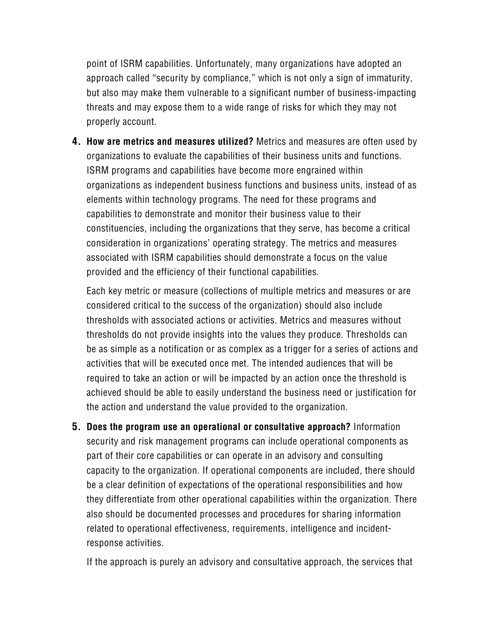point of ISRM capabilities. Unfortunately, many organizations have adopted an approach called "security by compliance," which is not only a sign of immaturity, but also may make them vulnerable to a significant number of business-impacting threats and may expose them to a wide range of risks for which they may not properly account.

**4. How are metrics and measures utilized?** Metrics and measures are often used by organizations to evaluate the capabilities of their business units and functions. ISRM programs and capabilities have become more engrained within organizations as independent business functions and business units, instead of as elements within technology programs. The need for these programs and capabilities to demonstrate and monitor their business value to their constituencies, including the organizations that they serve, has become a critical consideration in organizations' operating strategy. The metrics and measures associated with ISRM capabilities should demonstrate a focus on the value provided and the efficiency of their functional capabilities.

Each key metric or measure (collections of multiple metrics and measures or are considered critical to the success of the organization) should also include thresholds with associated actions or activities. Metrics and measures without thresholds do not provide insights into the values they produce. Thresholds can be as simple as a notification or as complex as a trigger for a series of actions and activities that will be executed once met. The intended audiences that will be required to take an action or will be impacted by an action once the threshold is achieved should be able to easily understand the business need or justification for the action and understand the value provided to the organization.

**5. Does the program use an operational or consultative approach?** Information security and risk management programs can include operational components as part of their core capabilities or can operate in an advisory and consulting capacity to the organization. If operational components are included, there should be a clear definition of expectations of the operational responsibilities and how they differentiate from other operational capabilities within the organization. There also should be documented processes and procedures for sharing information related to operational effectiveness, requirements, intelligence and incidentresponse activities.

If the approach is purely an advisory and consultative approach, the services that